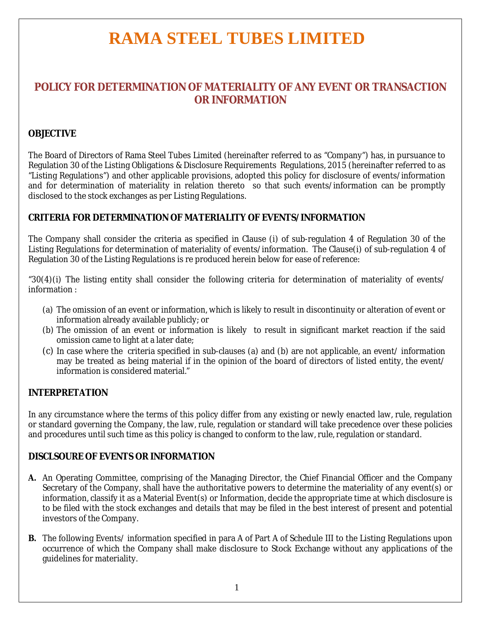### **POLICY FOR DETERMINATION OF MATERIALITY OF ANY EVENT OR TRANSACTION OR INFORMATION**

### **OBJECTIVE**

The Board of Directors of Rama Steel Tubes Limited (hereinafter referred to as "Company") has, in pursuance to Regulation 30 of the Listing Obligations & Disclosure Requirements Regulations, 2015 (hereinafter referred to as "Listing Regulations") and other applicable provisions, adopted this policy for disclosure of events/information and for determination of materiality in relation thereto so that such events/information can be promptly disclosed to the stock exchanges as per Listing Regulations.

### **CRITERIA FOR DETERMINATION OF MATERIALITY OF EVENTS/INFORMATION**

The Company shall consider the criteria as specified in Clause (i) of sub-regulation 4 of Regulation 30 of the Listing Regulations for determination of materiality of events/information. The Clause(i) of sub-regulation 4 of Regulation 30 of the Listing Regulations is re produced herein below for ease of reference:

"30(4)(i) The listing entity shall consider the following criteria for determination of materiality of events/ information :

- (a) The omission of an event or information, which is likely to result in discontinuity or alteration of event or information already available publicly; or
- (b) The omission of an event or information is likely to result in significant market reaction if the said omission came to light at a later date;
- (c) In case where the criteria specified in sub-clauses (a) and (b) are not applicable, an event/ information may be treated as being material if in the opinion of the board of directors of listed entity, the event/ information is considered material."

### **INTERPRETATION**

In any circumstance where the terms of this policy differ from any existing or newly enacted law, rule, regulation or standard governing the Company, the law, rule, regulation or standard will take precedence over these policies and procedures until such time as this policy is changed to conform to the law, rule, regulation or standard.

### **DISCLSOURE OF EVENTS OR INFORMATION**

- **A.** An Operating Committee, comprising of the Managing Director, the Chief Financial Officer and the Company Secretary of the Company, shall have the authoritative powers to determine the materiality of any event(s) or information, classify it as a Material Event(s) or Information, decide the appropriate time at which disclosure is to be filed with the stock exchanges and details that may be filed in the best interest of present and potential investors of the Company.
- **B.** The following Events/ information specified in para A of Part A of Schedule III to the Listing Regulations upon occurrence of which the Company shall make disclosure to Stock Exchange without any applications of the guidelines for materiality.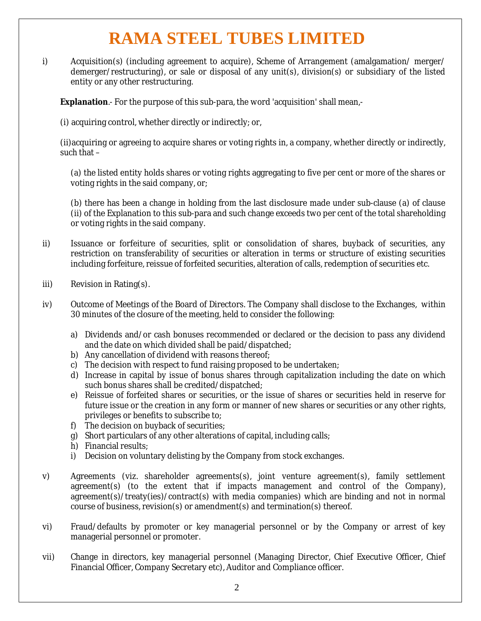i) Acquisition(s) (including agreement to acquire), Scheme of Arrangement (amalgamation/ merger/ demerger/restructuring), or sale or disposal of any unit(s), division(s) or subsidiary of the listed entity or any other restructuring.

**Explanation**.- For the purpose of this sub-para, the word 'acquisition' shall mean,-

(i) acquiring control, whether directly or indirectly; or,

(ii)acquiring or agreeing to acquire shares or voting rights in, a company, whether directly or indirectly, such that  $-$ 

(a) the listed entity holds shares or voting rights aggregating to five per cent or more of the shares or voting rights in the said company, or;

(b) there has been a change in holding from the last disclosure made under sub-clause (a) of clause (ii) of the Explanation to this sub-para and such change exceeds two per cent of the total shareholding or voting rights in the said company.

- ii) Issuance or forfeiture of securities, split or consolidation of shares, buyback of securities, any restriction on transferability of securities or alteration in terms or structure of existing securities including forfeiture, reissue of forfeited securities, alteration of calls, redemption of securities etc.
- iii) Revision in Rating(s).
- iv) Outcome of Meetings of the Board of Directors. The Company shall disclose to the Exchanges, within 30 minutes of the closure of the meeting, held to consider the following:
	- a) Dividends and/or cash bonuses recommended or declared or the decision to pass any dividend and the date on which divided shall be paid/dispatched;
	- b) Any cancellation of dividend with reasons thereof;
	- c) The decision with respect to fund raising proposed to be undertaken;
	- d) Increase in capital by issue of bonus shares through capitalization including the date on which such bonus shares shall be credited/dispatched;
	- e) Reissue of forfeited shares or securities, or the issue of shares or securities held in reserve for future issue or the creation in any form or manner of new shares or securities or any other rights, privileges or benefits to subscribe to;
	- f) The decision on buyback of securities;
	- g) Short particulars of any other alterations of capital, including calls;
	- h) Financial results;
	- i) Decision on voluntary delisting by the Company from stock exchanges.
- v) Agreements (viz. shareholder agreements(s), joint venture agreement(s), family settlement agreement(s) (to the extent that if impacts management and control of the Company), agreement(s)/treaty(ies)/contract(s) with media companies) which are binding and not in normal course of business, revision(s) or amendment(s) and termination(s) thereof.
- vi) Fraud/defaults by promoter or key managerial personnel or by the Company or arrest of key managerial personnel or promoter.
- vii) Change in directors, key managerial personnel (Managing Director, Chief Executive Officer, Chief Financial Officer, Company Secretary etc), Auditor and Compliance officer.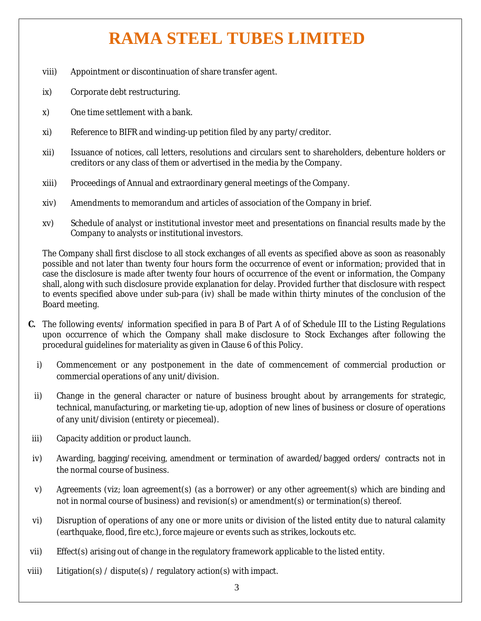- viii) Appointment or discontinuation of share transfer agent.
- ix) Corporate debt restructuring.
- x) One time settlement with a bank.
- xi) Reference to BIFR and winding-up petition filed by any party/creditor.
- xii) Issuance of notices, call letters, resolutions and circulars sent to shareholders, debenture holders or creditors or any class of them or advertised in the media by the Company.
- xiii) Proceedings of Annual and extraordinary general meetings of the Company.
- xiv) Amendments to memorandum and articles of association of the Company in brief.
- xv) Schedule of analyst or institutional investor meet and presentations on financial results made by the Company to analysts or institutional investors.

The Company shall first disclose to all stock exchanges of all events as specified above as soon as reasonably possible and not later than twenty four hours form the occurrence of event or information; provided that in case the disclosure is made after twenty four hours of occurrence of the event or information, the Company shall, along with such disclosure provide explanation for delay. Provided further that disclosure with respect to events specified above under sub-para (iv) shall be made within thirty minutes of the conclusion of the Board meeting.

- **C.** The following events/ information specified in para B of Part A of of Schedule III to the Listing Regulations upon occurrence of which the Company shall make disclosure to Stock Exchanges after following the procedural guidelines for materiality as given in Clause 6 of this Policy.
	- i) Commencement or any postponement in the date of commencement of commercial production or commercial operations of any unit/division.
	- ii) Change in the general character or nature of business brought about by arrangements for strategic, technical, manufacturing, or marketing tie-up, adoption of new lines of business or closure of operations of any unit/division (entirety or piecemeal).
- iii) Capacity addition or product launch.
- iv) Awarding, bagging/receiving, amendment or termination of awarded/bagged orders/ contracts not in the normal course of business.
- v) Agreements (viz; loan agreement(s) (as a borrower) or any other agreement(s) which are binding and not in normal course of business) and revision(s) or amendment(s) or termination(s) thereof.
- vi) Disruption of operations of any one or more units or division of the listed entity due to natural calamity (earthquake, flood, fire etc.), force majeure or events such as strikes, lockouts etc.
- vii) Effect(s) arising out of change in the regulatory framework applicable to the listed entity.
- viii) Litigation(s) / dispute(s) / regulatory action(s) with impact.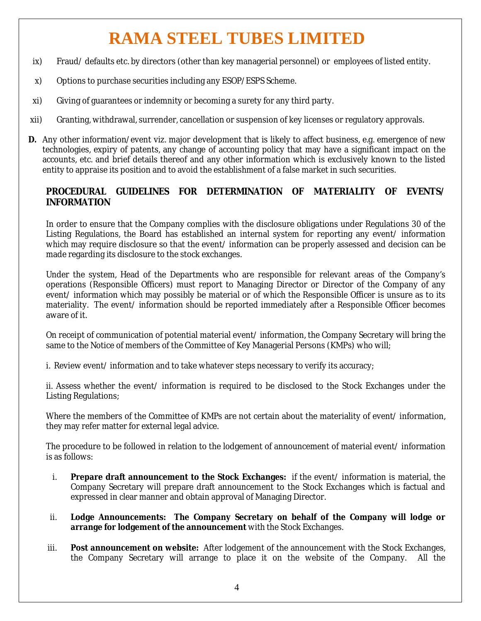- ix) Fraud/ defaults etc. by directors (other than key managerial personnel) or employees of listed entity.
- x) Options to purchase securities including any ESOP/ESPS Scheme.
- xi) Giving of guarantees or indemnity or becoming a surety for any third party.
- xii) Granting, withdrawal, surrender, cancellation or suspension of key licenses or regulatory approvals.
- **D.** Any other information/event viz. major development that is likely to affect business, e.g. emergence of new technologies, expiry of patents, any change of accounting policy that may have a significant impact on the accounts, etc. and brief details thereof and any other information which is exclusively known to the listed entity to appraise its position and to avoid the establishment of a false market in such securities.

### **PROCEDURAL GUIDELINES FOR DETERMINATION OF MATERIALITY OF EVENTS/ INFORMATION**

In order to ensure that the Company complies with the disclosure obligations under Regulations 30 of the Listing Regulations, the Board has established an internal system for reporting any event/ information which may require disclosure so that the event/ information can be properly assessed and decision can be made regarding its disclosure to the stock exchanges.

Under the system, Head of the Departments who are responsible for relevant areas of the Company's operations (Responsible Officers) must report to Managing Director or Director of the Company of any event/ information which may possibly be material or of which the Responsible Officer is unsure as to its materiality. The event/ information should be reported immediately after a Responsible Officer becomes aware of it.

On receipt of communication of potential material event/ information, the Company Secretary will bring the same to the Notice of members of the Committee of Key Managerial Persons (KMPs) who will;

i. Review event/ information and to take whatever steps necessary to verify its accuracy;

ii. Assess whether the event/ information is required to be disclosed to the Stock Exchanges under the Listing Regulations;

Where the members of the Committee of KMPs are not certain about the materiality of event/information, they may refer matter for external legal advice.

The procedure to be followed in relation to the lodgement of announcement of material event/ information is as follows:

- i. **Prepare draft announcement to the Stock Exchanges:** if the event/ information is material, the Company Secretary will prepare draft announcement to the Stock Exchanges which is factual and expressed in clear manner and obtain approval of Managing Director.
- ii. **Lodge Announcements: The Company Secretary on behalf of the Company will lodge or arrange for lodgement of the announcement** with the Stock Exchanges.
- iii. **Post announcement on website:** After lodgement of the announcement with the Stock Exchanges, the Company Secretary will arrange to place it on the website of the Company. All the